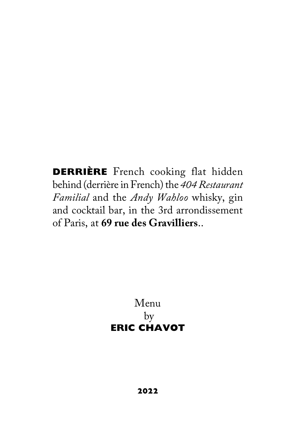**DERRIÈRE** French cooking flat hidden behind (derrière in French) the *404 Restaurant Familial* and the *Andy Wahloo* whisky, gin and cocktail bar, in the 3rd arrondissement of Paris, at **69 rue des Gravilliers**..

> Menu by **ERIC CHAVOT**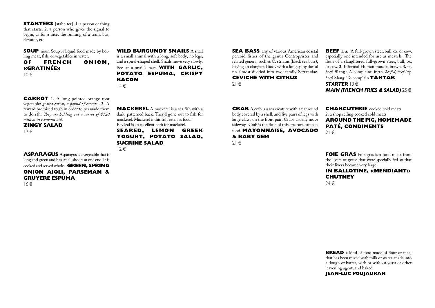**STARTERS** [stahr-ter] .1. a person or thing that starts. 2. a person who gives the signal to begin, as for a race, the running of a train, bus, elevator, etc

**SOUP** noun Soup is liquid food made by boiling meat, fish, or vegetables in water.<br> **OF FRENCH O** 

FRENCH ONION. **«GRATINÉE»**  $10 \in$ 

**CARROT 1.** A long pointed orange root vegetable: *grated carrot, a pound of carrots* . **2.** A reward promised to sb in order to persuade them to do sth: *They are holding out a carrot of \$120 million in economic aid*.

**ZINGY SALAD**

12 €

**ASPARAGUS** Asparagus is a vegetable that is long and green and has small shoots at one end. It is cooked and served whole**.** .**GREEN, SPRING ONION AIOLI, PARSEMAN & GRUYERE ESPUMA** 

16 €

**WILD BURGUNDY SNAILS** A snail is a small animal with a long, soft body, no legs, and a spiral-shaped shell. Snails move very slowly. See at a snail's pace **WITH GARLIC, POTATO ESPUMA, CRISPY BACON**  $14 \in$ 

**MACKEREL** A mackerel is a sea fish with a dark, patterned back. They'd gone out to fish for mackerel. Mackerel is this fish eaten as food. Bay leaf is an excellent herb for mackerel.

**SEARED, LEMON GREEK YOGURT, POTATO SALAD,** 

**SUCRINE SALAD**

 $12 \in$ 

**SEA BASS** any of various American coastal percoid fishes of the genus Centropristes and related genera, such as C. striatus (black sea bass), having an elongated body with a long spiny dorsal fin almost divided into two: family Serranidae. **CEVICHE WITH CITRUS**

 $21 \in$ 

**CRAB** A crab is a sea creature with a flat round body covered by a shell, and five pairs of legs with large claws on the front pair. Crabs usually move sideways.Crab is the flesh of this creature eaten as food. **MAYONNAISE, AVOCADO & BABY GEM** 

 $21 \in$ 

**BEEF 1. a.** A full-grown steer, bull, ox, or cow, especially one intended for use as meat. **b.** The flesh of a slaughtered full-grown steer, bull, ox, or cow. **2.** Informal Human muscle; brawn. **3.** pl. *beefs* **Slang** : A complaint. intr.v. *beefed, beef·ing, beefs* **Slang** :To complain **TARTAR**  *STARTER* 13 € *MAIN (FRENCH FRIES & SALAD)* 25 €

**CHARCUTERIE** cooked cold meats 2. a shop selling cooked cold meats **AROUND THE PIG, HOMEMADE PATÉ, CONDIMENTS**  $21 \in$ 

**FOIE GRAS** Foie gras is a food made from the livers of geese that were specially fed so that their livers became very large.

## **IN BALLOTINE, «MENDIANT» CHUTNEY**

24 €

**BREAD** a kind of food made of flour or meal that has been mixed with milk or water, made into a dough or batter, with or without yeast or other leavening agent, and baked.

**JEAN-LUC POUJAURAN**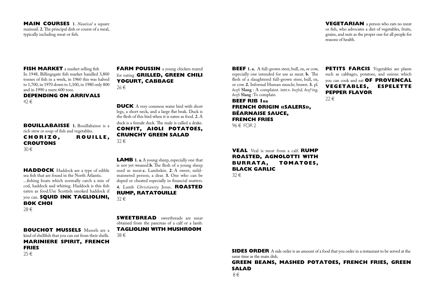#### **MAIN COURSES 1.** *Nautical* a square mainsail. **2.** The principal dish or course of a meal, typically including meat or fish.

**VEGETARIAN** a person who eats no meat or fish, who advocates a diet of vegetables, fruits, grains, and nuts as the proper one for all people for reasons of health.

#### **FISH MARKET** a market selling fish

In 1948, Billingsgate fish market handled 3,800 tonnes of fish in a week, in 1960 this was halved to 1,700, in 1970 down to 1,100, in 1980 only 800 and in 1990 a mere 600 tons.

#### **DEPENDING ON ARRIVALS**  $42 \in$

**BOUILLABAISSE** 1. Bouillabaisse is a rich stew or soup of fish and vegetables.<br>CHORIZO. ROUILLE. **CHORIZO, CROUTONS**  30 €

**HADDOCK** Haddock are a type of edible sea fish that are found in the North Atlantic. ...fishing boats which normally catch a mix of cod, haddock and whiting. Haddock is this fish eaten as food.Use Scottish smoked haddock if you can. **SQUID INK TAGLIOLINI, BOK CHOI**

28 €

**FARM POUSSIN** a young chicken reared for eating .**GRILLED, GREEN CHILI YOGURT, CABBAGE** 26 €

**DUCK** A very common water bird with short legs, a short neck, and a large flat beak. Duck is the flesh of this bird when it is eaten as food. **2.** A duck is a female duck. The male is called a drake. **CONFIT, AIOLI POTATOES, CRUNCHY GREEN SALAD** 32 €

**LAMB 1. a.** A young sheep, especially one that is not yet weaned.**b.** The flesh of a young sheep used as meat.**c.** Lambskin. **2.** A sweet, mildmannered person; a dear. **3.** One who can be duped or cheated especially in financial matters. **4.** Lamb *Christianity* Jesus. **ROASTED RUMP, RATATOUILLE** 32 €

**SWEETBREAD** sweetbreads are meat obtained from the pancreas of a calf or a lamb. **TAGLIOLINI WITH MUSHROOM**

38 €

**BOUCHOT MUSSELS** Mussels are a kind of shellfish that you can eat from their shells. **MARINIERE SPIRIT, FRENCH FRIES**  $25 \in$ 

**BEEF 1. a.** A full-grown steer, bull, ox, or cow, especially one intended for use as meat. **b.** The flesh of a slaughtered full-grown steer, bull, ox, or cow. **2.** Informal Human muscle; brawn. **3.** pl. *beefs* **Slang** : A complaint. intr.v. *beefed, beef·ing, beefs* **Slang** :To complain

**BEEF RIB 1KG FRENCH ORIGIN «SALERS», BÉARNAISE SAUCE, FRENCH FRIES** 96 € FOR 2

**PETITS FARCIS** Vegetables are plants such as cabbages, potatoes, and onions which you can cook and eat **OF PROVENCAL VEGETABLES, ESPELETTE PEPPER FLAVOR** 

 $22 \in$ 

**VEAL** Veal is meat from a calf. **RUMP ROASTED, AGNOLOTTI WITH BURRATA, TOMATOES, BLACK GARLIC** 32 €

**SIDES ORDER** A side order is an amount of a food that you order in a restaurant to be served at the same time as the main dish.

**GREEN BEANS, MASHED POTATOES, FRENCH FRIES, GREEN SALAD**

 $8 \in$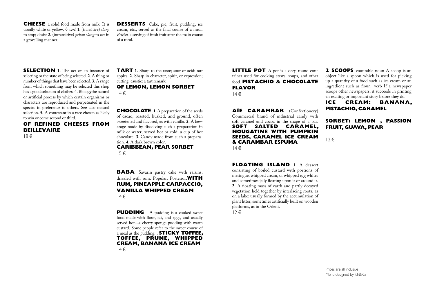**CHEESE** a solid food made from milk. It is usually white or yellow. **◊** *verb* **1.** (transitive) *slang*  to stop; desist **2.** (intransitive) *prison slang* to act in a grovelling manner.

**DESSERTS** Cake, pie, fruit, pudding, ice cream, etc., served as the final course of a meal. *British.* a serving of fresh fruit after the main course of a meal.

**SELECTION** 1. The act or an instance of selecting or the state of being selected. **2.** A thing or number of things that have been selected. **3.** A range from which something may be selected this shop has a good selection of clothes. **4.** Biologythe natural or artificial process by which certain organisms or characters are reproduced and perpetuated in the species in preference to others. See also natural selection. **5.** A contestant in a race chosen as likely to win or come second or third.

# **OF REFINED CHEESES FROM BEILLEVAIRE**

18 €

**TART 1.** Sharp to the taste; sour or acid: tart apples. **2.** Sharp in character, spirit, or expression; cutting; caustic: a tart remark.

**OF LEMON, LEMON SORBET**  $14 \in$ 

**CHOCOLATE** 1. A preparation of the seeds of cacao, roasted, husked, and ground, often sweetened and flavored, as with vanilla. **2.** A beverage made by dissolving such a preparation in milk or water, served hot or cold: a cup of hot chocolate. **3.** Candy made from such a preparation. **4.** A dark brown color. **CARIBBEAN, PEAR SORBET**

15 €

**BABA** Savarin pastry cake with raisins, drizzled with rum. Popular. Posterior.**WITH RUM, PINEAPPLE CARPACCIO, VANILLA WHIPPED CREAM**  $14 \in$ 

**PUDDING** A pudding is a cooked sweet food made with flour, fat, and eggs, and usually served hot....a cherry sponge pudding with warm custard. Some people refer to the sweet course of a meal as the pudding. . **STICKY TOFFEE, TOFFEE, PRUNE, WHIPPED CREAM, BANANA ICE CREAM**  $14 \in$ 

**LITTLE POT** A pot is a deep round container used for cooking stews, soups, and other food. **PISTACHIO & CHOCOLATE FLAVOR**

 $14 \in$ 

**AÏE CARAMBAR** (Confectionery) Commercial brand of industrial candy with soft caramel and cocoa in the shape of a bar. **SOFT SALTED CARAMEL, NOUGATINE WITH PUMPKIN SEEDS, CARAMEL ICE CREAM & CARAMBAR ESPUMA**  $14 \in$ 

**FLOATING ISLAND 1.** A dessert consisting of boiled custard with portions of meringue, whipped cream, or whipped egg whites and sometimes jelly floating upon it or around it. **2.** A floating mass of earth and partly decayed vegetation held together by interlacing roots, as on a lake: usually formed by the accumulation of plant litter; sometimes artificially built on wooden platforms, as in the Orient.  $12 \in$ 

**2 SCOOPS** countable noun A scoop is an object like a spoon which is used for picking up a quantity of a food such as ice cream or an ingredient such as flour. verb If a newspaper scoops other newspapers, it succeeds in printing an exciting or important story before they do.

**ICE CREAM: BANANA, PISTACHIO, CARAMEL**

### **SORBET: LEMON , PASSION FRUIT, GUAVA, PEAR**

12 €

Prices are all inclusive Menu designed by Ich&Kar